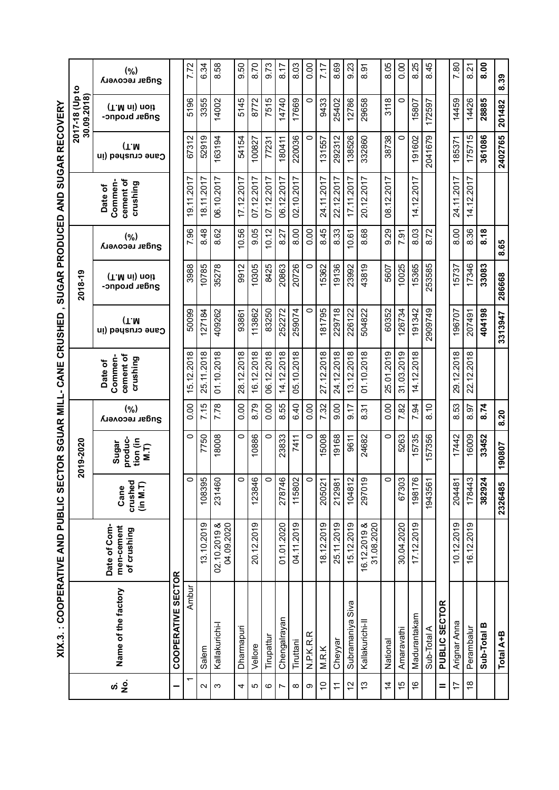|                |                           | XIX.3. : COOPERATIVE AND PUBLIC SECTOR SGUAR MILL- CANE |                             |                                                    |                       |                                             | CRUSHED                  |                                |                       | , SUGAR PRODUCED AND SUGAR RECOVERY         |                           |                                |                       |
|----------------|---------------------------|---------------------------------------------------------|-----------------------------|----------------------------------------------------|-----------------------|---------------------------------------------|--------------------------|--------------------------------|-----------------------|---------------------------------------------|---------------------------|--------------------------------|-----------------------|
|                |                           |                                                         |                             | 2019-2020                                          |                       |                                             |                          | 2018-19                        |                       |                                             |                           | 2017-18 (Up to<br>30.09.2018)  |                       |
|                | Name of the factory       | Date of Com-<br>men-cement<br>of crushing               | crushed<br>(in M.T)<br>Cane | produc-<br>tion (in<br>Sugar<br>$\overline{M}$ .T) | (%)<br>Sugar recovery | cement of<br>Commen-<br>crushing<br>Date of | (T.M<br>Cane crushed (in | (T.M ni) noit<br>gndar broduc- | (9)<br>Sugar recovery | cement of<br>Commen-<br>crushing<br>Date of | (T.M)<br>Cane crushed (in | (T.M ni) noit<br>Sugar produc- | (9)<br>Sugar recovery |
|                | <b>COOPERATIVE SECTOR</b> |                                                         |                             |                                                    |                       |                                             |                          |                                |                       |                                             |                           |                                |                       |
|                | Ambur                     |                                                         | 0                           | $\circ$                                            | 0.00                  | 15.12.2018                                  | 50099                    | 3988                           | 7.96                  | 9.11.2017                                   | 67312                     | 5196                           | 7.72                  |
| Salem          |                           | 13.10.2019                                              | 108395                      | 7750                                               | 7.15                  | 25.11.2018                                  | 127184                   | 10785                          | 8.48                  | 18.11.2017                                  | 52919                     | 3355                           | 6.34                  |
| Kallakurichi-l |                           | 02.10.2019 &<br>04.09.2020                              | 231460                      | 18008                                              | 7.78                  | 01.10.2018                                  | 409262                   | 35278                          | 8.62                  | 06.10.2017                                  | 163194                    | 14002                          | 8.58                  |
| Dharmapuri     |                           |                                                         | 0                           | $\circ$                                            | 0.00                  | 28.12.2018                                  | 93861                    | 9912                           | 10.56                 | 17.12.2017                                  | 54154                     | 5145                           | 9.50                  |
| Vellore        |                           | 20.12.2019                                              | 123846                      | 10886                                              | 8.79                  | 16.12.2018                                  | 113862                   | 10305                          | 9.05                  | 07.12.2017                                  | 100827                    | 8772                           | 8.70                  |
| Tirupattur     |                           |                                                         | 0                           | $\circ$                                            | 0.00                  | 06.12.2018                                  | 83250                    | 8425                           | 10.12                 | 07.12.2017                                  | 77231                     | 7515                           | 9.73                  |
|                | Chengalrayan              | 01.01.2020                                              | 278746                      | 23833                                              | 8.55                  | 14.12.2018                                  | 252272                   | 20863                          | 8.27                  | 06.12.2017                                  | 180411                    | 14740                          | 8.17                  |
| Tiruttani      |                           | 04.11.2019                                              | 115802                      | 7411                                               | 6.40                  | 05.10.2018                                  | 259074                   | 20726                          | 8.00                  | 02.10.2017                                  | 220036                    | 17669                          | 8.03                  |
| N.P.K.R.       | Œ.                        |                                                         |                             | $\circ$                                            | 0.00                  |                                             | $\circ$                  | $\circ$                        | 0.00                  |                                             | $\circ$                   | $\circ$                        | 0.00                  |
| M.R.K          |                           | 18.12.2019                                              | 205021                      | 5008                                               | 7.32                  | 27.12.2018                                  | 181795                   | 15362                          | 8.45                  | 24.11.2017                                  | 131557                    | 9433                           | 7.17                  |
| Cheyyar        |                           | 25.11.2019                                              | 212981                      | 19168                                              | 0.6                   | 24.12.2018                                  | 229718                   | 19136                          | 8.33                  | 22.12.2017                                  | 292312                    | 25402                          | 8.69                  |
|                | Subramaniya Siva          | 15.12.2019                                              | 104812                      | 9611                                               | 0.17                  | 13.12.2018                                  | 226122                   | 23992                          | 0.61                  | 17.11.2017                                  | 138526                    | 12786                          | 9.23                  |
|                | Kallakurichi-l            | 16.12.2019 &<br>31.08.2020                              | 297019                      | 24682                                              | 8.31                  | 01.10.2018                                  | 504822                   | 43819                          | 8.68                  | 20.12.2017                                  | 332860                    | 29658                          | 8.91                  |
| National       |                           |                                                         | 0                           | $\circ$                                            | 0.00                  | 25.01.2019                                  | 60352                    | 5607                           | 0.29                  | 08.12.2017                                  | 38738                     | 3118                           | 8.05                  |
| Amaravathi     |                           | 30.04.2020                                              | 67303                       | 5263                                               | 7.82                  | 31.03.2019                                  | 126734                   | 10025                          | 7.91                  |                                             | $\circ$                   | $\circ$                        | 0.00                  |
|                | Madurantakam              | 17.12.2019                                              | 198176                      | 15735                                              | 7.94                  | 14.12.2018                                  | 191342                   | 15365                          | 8.03                  | 14.12.2017                                  | 191602                    | 15807                          | 8.25                  |
| Sub-Total A    |                           |                                                         | 1943561                     | 57356                                              | 8.10                  |                                             | 2909749                  | 253585                         | 8.72                  |                                             | 2041679                   | 172597                         | 8.45                  |
|                | PUBLIC SECTOR             |                                                         |                             |                                                    |                       |                                             |                          |                                |                       |                                             |                           |                                |                       |
|                | Arignar Anna              | 10.12.2019                                              | 204481                      | 17442                                              | 53<br>ထံ              | 29.12.2018                                  | 196707                   | 15737                          | 8.00                  | 24.11.2017                                  | 185371                    | 14459                          | 7.80                  |
| Perambalur     |                           | 16.12.2019                                              | 178443                      | 16009                                              | 8.97                  | 22.12.2018                                  | 207491                   | 17346                          | 8.36                  | 14.12.2017                                  | 175715                    | 14426                          | 8.21                  |
| Sub-Total B    |                           |                                                         | 382924                      | 33452                                              | 8.74                  |                                             | 404198                   | 33083                          | 8.18                  |                                             | 361086                    | 28885                          | 8.00                  |
| Total A+B      |                           |                                                         | 2326485                     | 190807                                             | 8.20                  |                                             | 3313947                  | 286668                         | 8.65                  |                                             | 2402765                   | 201482                         | 8.39                  |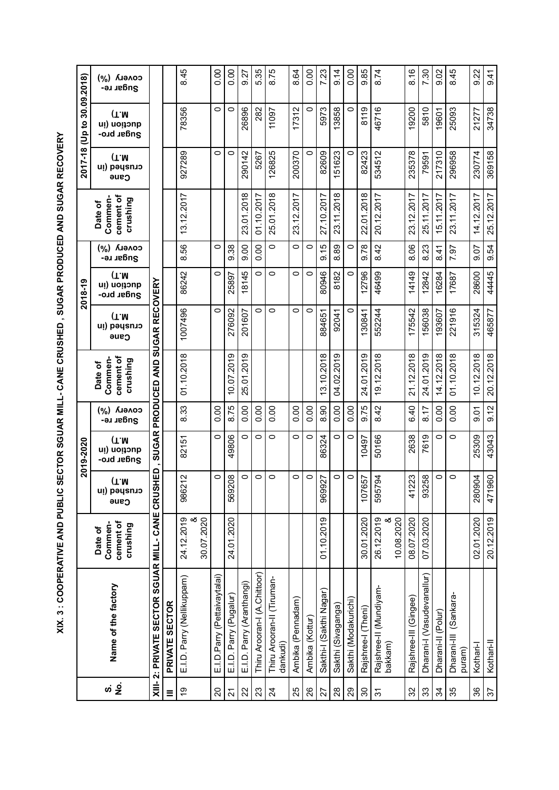XIX. 3 : COOPERATIVE AND PUBLIC SECTOR SGUAR MILL- CANE CRUSHED , SUGAR PRODUCED AND SUGAR RECOVERY **XIX. 3 : COOPERATIVE AND PUBLIC SECTOR SGUAR MILL- CANE CRUSHED , SUGAR PRODUCED AND SUGAR RECOVERY** 

|                            | (%) Ллемор<br>Sugar re-                     |                                              |                          | 8.45                          | 0.00                         | 0.00                   | 9.27                      | 5.35                         | 8.75                                   | 8.64              | 0.00            | 7.23                    | 9.14               | 0.00                 | 9.85                  | 8.74                              | 8.16                  | 7.30                       | 9.02               | 8.45                            | 9.22                | 9.41                     |
|----------------------------|---------------------------------------------|----------------------------------------------|--------------------------|-------------------------------|------------------------------|------------------------|---------------------------|------------------------------|----------------------------------------|-------------------|-----------------|-------------------------|--------------------|----------------------|-----------------------|-----------------------------------|-----------------------|----------------------------|--------------------|---------------------------------|---------------------|--------------------------|
| 2017-18 (Up to 30.09.2018) | (T.M)<br>quetion (in<br>Sugar pro-          |                                              |                          | 78356                         | $\circ$                      | $\circ$                | 26896                     | 282                          | 11097                                  | 17312             | 0               | 5973                    | 13858              | $\circ$              | 8119                  | 46716                             | 19200                 | 5810                       | 19601              | 25093                           | 21277               | 34738                    |
|                            | (T.M)<br>crusheq (in<br>Cane                |                                              |                          | 927289                        | $\circ$                      | $\circ$                | 290142                    | 5267                         | 126825                                 | 200370            | $\circ$         | 82609                   | 151623             | O                    | 82423                 | 534512                            | 235378                | 79591                      | 217310             | 296958                          | 230774              | 369158                   |
|                            | Commen-<br>cement of<br>crushing<br>Date of |                                              |                          | 13.12.2017                    |                              |                        | 23.01.2018                | 01.10.2017                   | 25.01.2018                             | 2017<br>23.12.    |                 | 27.10.2017              | 23.11.2018         |                      | 22.01.2018            | 20.12.2017                        | 23.12.2017            | 25.11.2017                 | 15.11.2017         | 23.11.2017                      | 14.12.2017          | 25.12.2017               |
|                            | covery<br>$(y_0)$<br>Sugar re-              |                                              |                          | 99<br>$\ddot{\circ}$          | $\circ$                      | 9.38                   | 0.00                      | 0.00                         | $\circ$                                | $\circ$           | $\circ$         | 9.15                    | 89<br>∞            | $\circ$              | 9.78                  | 8.42                              | 8.06                  | 23<br>ထ                    | 8.41               | 7.97                            | 9.07                | 54<br>တ                  |
| 2018-19                    | (T.M)<br>ui) uoitoub<br>Sugar pro-          |                                              |                          | 86242                         | $\circ$                      | 25897                  | 18145                     | $\circ$                      | $\circ$                                | 0                 | $\circ$         | 80946                   | 8182               | $\circ$              | 12796                 | 46499                             | 14149                 | 12842                      | 16284              | 17687                           | 28600               | 44445                    |
|                            | (T.M)<br>cupeq (ju<br><b>Cane</b>           |                                              |                          | 1007496                       | $\circ$                      | 276092                 | 201607                    | $\circ$                      | $\circ$                                | $\circ$           | $\circ$         | 884651                  | 92041              | O                    | 130841                | 552244                            | 175542                | 56038                      | 193607             | 221916                          | 315324              | 465877                   |
|                            | cement of<br>Commen-<br>crushing<br>Date of | <b>PRODUCED AND SUGAR RECOVERY</b>           |                          | 01.10.2018                    |                              | 10.07.2019             | 25.01.2019                |                              |                                        |                   |                 | 13.10.2018              | 04.02.2019         |                      | 24.01.2019            | 19.12.2018                        | 21.12.2018            | 24.01.2019                 | 14.12.2018         | 01.10.2018                      | 10.12.2018          | 20.12.2018               |
|                            | солегу (%)<br>Sugar re-                     |                                              |                          | 8.33                          | 0.00                         | 8.75                   | 0.00                      | 0.00                         | 0.00                                   | 0.00              | 0.00            | 8.90                    | 0.00               | 0.00                 | 9.75                  | 8.42                              | 6.40                  | 8.17                       | 0.00               | 0.00                            | 0.07                | 9.12                     |
| 2019-2020                  | (T.M)<br>qnction (in<br>Sugar pro-          | <b>SUGAR</b>                                 |                          | 82151                         | $\circ$                      | 49806                  | $\circ$                   | $\circ$                      | $\circ$                                | 0                 | $\circ$         | 86324                   | $\circ$            | $\circ$              | 10497                 | 50166                             | 2638                  | 7619                       | $\circ$            | O                               | 25309               | 43043                    |
|                            | (T.M)<br>crushed (in<br>cane                | 品                                            |                          | 12<br>9862                    | $\circ$                      | $\infty$<br>5692       | 0                         | $\circ$                      | $\circ$                                | 0                 | 0               | 27<br>9699              | 0                  | $\circ$              | 57<br>1076            | $\overline{5}$<br>5957            | 23<br>412             | 58<br>932                  | 0                  | $\circ$                         | $\tilde{q}$<br>2809 | 80<br>4719               |
|                            | cement of<br>Commen-<br>crushing<br>Date of |                                              |                          | 24.12.2019<br>30.07.2020<br>య |                              | 24.01.2020             |                           |                              |                                        |                   |                 | 01.10.2019              |                    |                      | 30.01.2020            | 10.08.2020<br>26.12.2019<br>య     | 08.07.2020            | 07.03.2020                 |                    |                                 | 02.01.2020          | 20.12.2019               |
|                            | Name of the factory                         | XIII-2: PRIVATE SECTOR SGUAR MILL- CANE CRUS | <b>SECTOR</b><br>PRIVATE | E.I.D. Parry (Nellikuppam)    | E.I.D.Parry (Pettaivaytalai) | E.I.D. Parry (Pugalur) | E.I.D. Parry (Aranthangi) | Thiru Arooran-I (A.Chittoor) | Thiru Arooran-II (Tiruman-<br>dankudi) | Ambika (Pennadam) | Ambika (Kottur) | Sakthi-I (Sakthi Nagar) | Sakthi (Sivaganga) | Sakthi (Modakurichi) | Rajshree-I (Theni)    | Rajshree-II (Mundiyam-<br>bakkam) | Rajshree-III (Gingee) | Dharani-I (Vasudevanallur) | Dharani-II (Polur) | Dharani-III (Sankara-<br>puram) | Kothari-l           | Kothari-II               |
|                            |                                             |                                              | $\equiv$                 | é,                            | $\Omega$                     | $\overline{2}$         | 22                        | 23                           | $\overline{2}$                         | 25                | $\infty$        | 27                      | $28$               | 29                   | $\mathcal{S}^{\circ}$ | $\tilde{\bm{c}}$                  | 32                    | 33                         | ೫                  | 35                              | 36                  | $\overline{\mathcal{E}}$ |